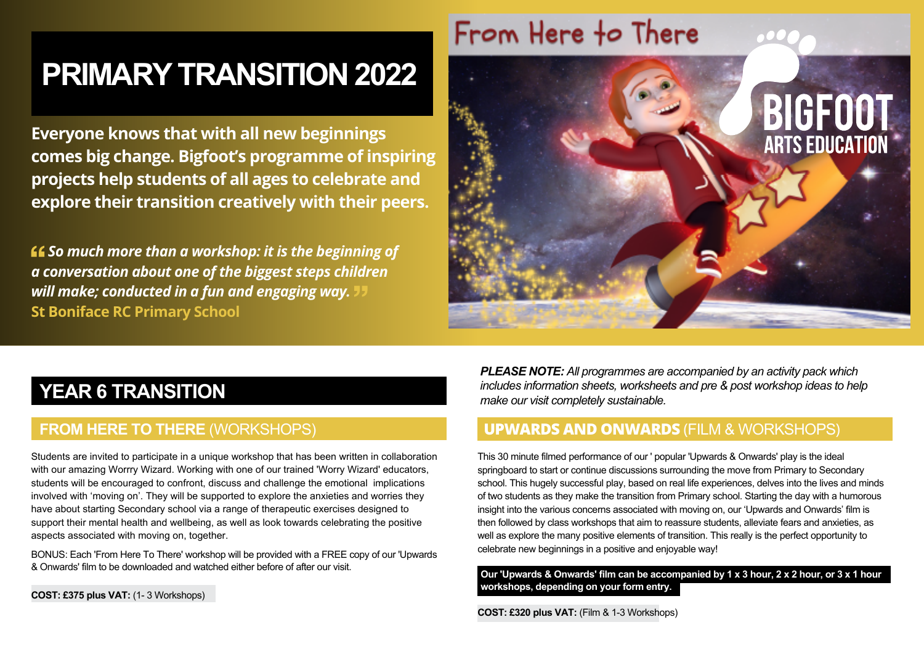# **PRIMARY TRANSITION 2022**

**Everyone knows that with all new beginnings comes big change. Bigfoot's programme of inspiring projects help students of all ages to celebrate and explore their transition creatively with their peers.**

 *So much more than a workshop: it is the beginning of a conversation about one of the biggest steps children will make; conducted in a fun and engaging way.* **St Boniface RC Primary School** 



## **YEAR 6 TRANSITION**

#### **FROM HERE TO THERE** (WORKSHOPS)

Students are invited to participate in a unique workshop that has been written in collaboration with our amazing Worrry Wizard. Working with one of our trained 'Worry Wizard' educators, students will be encouraged to confront, discuss and challenge the emotional implications involved with 'moving on'. They will be supported to explore the anxieties and worries they have about starting Secondary school via a range of therapeutic exercises designed to support their mental health and wellbeing, as well as look towards celebrating the positive aspects associated with moving on, together.

BONUS: Each 'From Here To There' workshop will be provided with a FREE copy of our 'Upwards & Onwards' film to be downloaded and watched either before of after our visit.

*PLEASE NOTE: All programmes are accompanied by an activity pack which includes information sheets, worksheets and pre & post workshop ideas to help make our visit completely sustainable.*

#### **UpwarDs anD onwarDs** (FILM & WORKSHOPS)

This 30 minute filmed performance of our ' popular 'Upwards & Onwards' play is the ideal springboard to start or continue discussions surrounding the move from Primary to Secondary school. This hugely successful play, based on real life experiences, delves into the lives and minds of two students as they make the transition from Primary school. Starting the day with a humorous insight into the various concerns associated with moving on, our 'Upwards and Onwards' film is then followed by class workshops that aim to reassure students, alleviate fears and anxieties, as well as explore the many positive elements of transition. This really is the perfect opportunity to celebrate new beginnings in a positive and enjoyable way!

**Our 'Upwards & Onwards' film can be accompanied by 1 x 3 hour, 2 x 2 hour, or 3 x 1 hour workshops, depending on your form entry.** 

**COST: £320 plus VAT:** (Film & 1-3 Workshops)

**COST: £375 plus VAT:** (1- 3 Workshops)